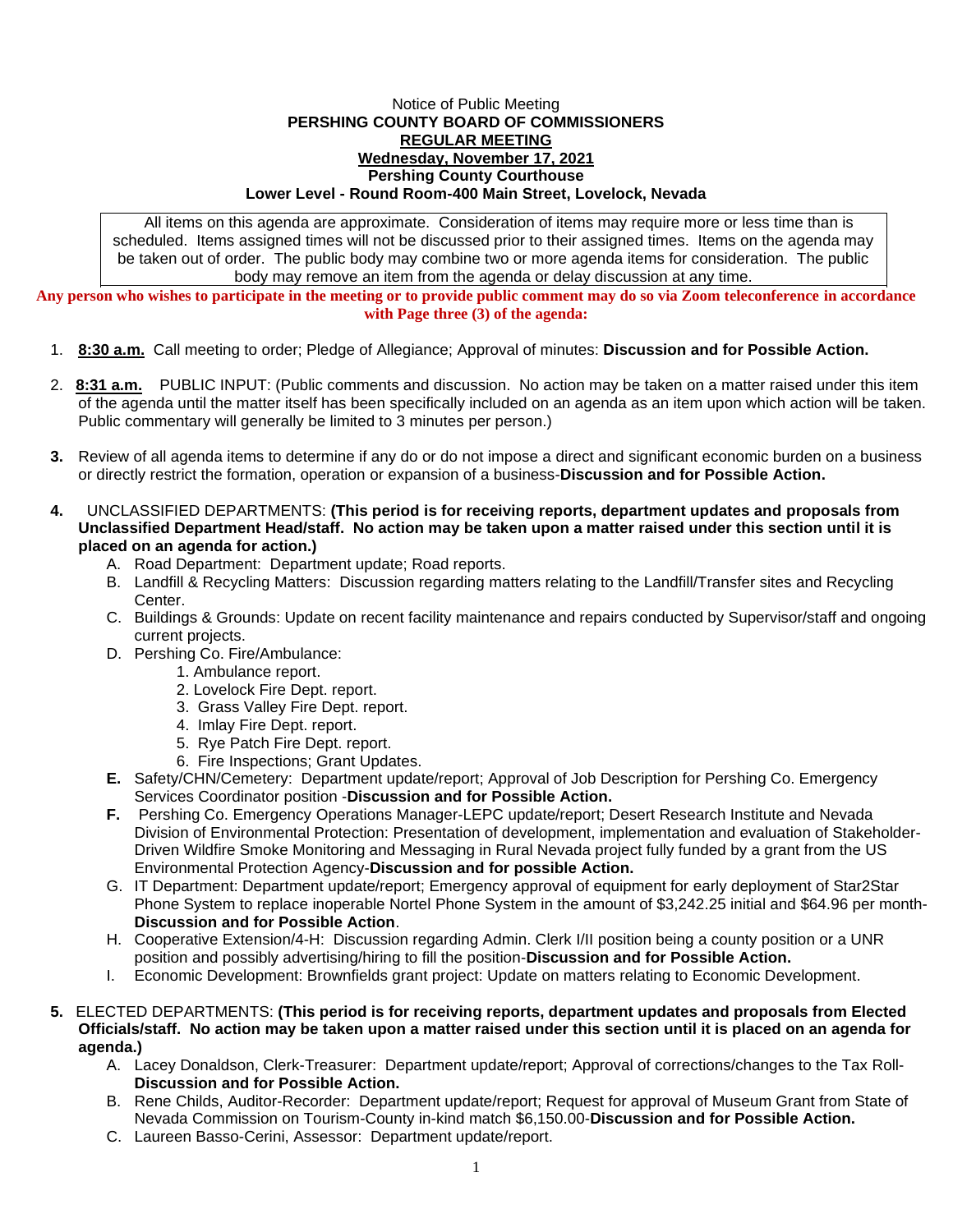## Notice of Public Meeting **PERSHING COUNTY BOARD OF COMMISSIONERS REGULAR MEETING Wednesday, November 17, 2021 Pershing County Courthouse Lower Level - Round Room-400 Main Street, Lovelock, Nevada**

All items on this agenda are approximate. Consideration of items may require more or less time than is scheduled. Items assigned times will not be discussed prior to their assigned times. Items on the agenda may be taken out of order. The public body may combine two or more agenda items for consideration. The public body may remove an item from the agenda or delay discussion at any time.

**Any person who wishes to participate in the meeting or to provide public comment may do so via Zoom teleconference in accordance with Page three (3) of the agenda:**

- 1. **8:30 a.m.** Call meeting to order; Pledge of Allegiance; Approval of minutes: **Discussion and for Possible Action.**
- 2. **8:31 a.m.** PUBLIC INPUT: (Public comments and discussion. No action may be taken on a matter raised under this item of the agenda until the matter itself has been specifically included on an agenda as an item upon which action will be taken. Public commentary will generally be limited to 3 minutes per person.)
- **3.** Review of all agenda items to determine if any do or do not impose a direct and significant economic burden on a business or directly restrict the formation, operation or expansion of a business-**Discussion and for Possible Action.**
- **4.** UNCLASSIFIED DEPARTMENTS: **(This period is for receiving reports, department updates and proposals from Unclassified Department Head/staff. No action may be taken upon a matter raised under this section until it is placed on an agenda for action.)**
	- A. Road Department: Department update; Road reports.
	- B. Landfill & Recycling Matters: Discussion regarding matters relating to the Landfill/Transfer sites and Recycling Center.
	- C. Buildings & Grounds: Update on recent facility maintenance and repairs conducted by Supervisor/staff and ongoing current projects.
	- D. Pershing Co. Fire/Ambulance:
		- 1. Ambulance report.
		- 2. Lovelock Fire Dept. report.
		- 3. Grass Valley Fire Dept. report.
		- 4. Imlay Fire Dept. report.
		- 5. Rye Patch Fire Dept. report.
		- 6. Fire Inspections; Grant Updates.
	- **E.** Safety/CHN/Cemetery: Department update/report; Approval of Job Description for Pershing Co. Emergency Services Coordinator position -**Discussion and for Possible Action.**
	- **F.** Pershing Co. Emergency Operations Manager-LEPC update/report; Desert Research Institute and Nevada Division of Environmental Protection: Presentation of development, implementation and evaluation of Stakeholder-Driven Wildfire Smoke Monitoring and Messaging in Rural Nevada project fully funded by a grant from the US Environmental Protection Agency-**Discussion and for possible Action.**
	- G. IT Department: Department update/report; Emergency approval of equipment for early deployment of Star2Star Phone System to replace inoperable Nortel Phone System in the amount of \$3,242.25 initial and \$64.96 per month-**Discussion and for Possible Action**.
	- H. Cooperative Extension/4-H: Discussion regarding Admin. Clerk I/II position being a county position or a UNR position and possibly advertising/hiring to fill the position-**Discussion and for Possible Action.**
	- I. Economic Development: Brownfields grant project: Update on matters relating to Economic Development.
- **5.** ELECTED DEPARTMENTS: **(This period is for receiving reports, department updates and proposals from Elected Officials/staff. No action may be taken upon a matter raised under this section until it is placed on an agenda for agenda.)**
	- A. Lacey Donaldson, Clerk-Treasurer: Department update/report; Approval of corrections/changes to the Tax Roll-**Discussion and for Possible Action.**
	- B. Rene Childs, Auditor-Recorder: Department update/report; Request for approval of Museum Grant from State of Nevada Commission on Tourism-County in-kind match \$6,150.00-**Discussion and for Possible Action.**
	- C. Laureen Basso-Cerini, Assessor: Department update/report.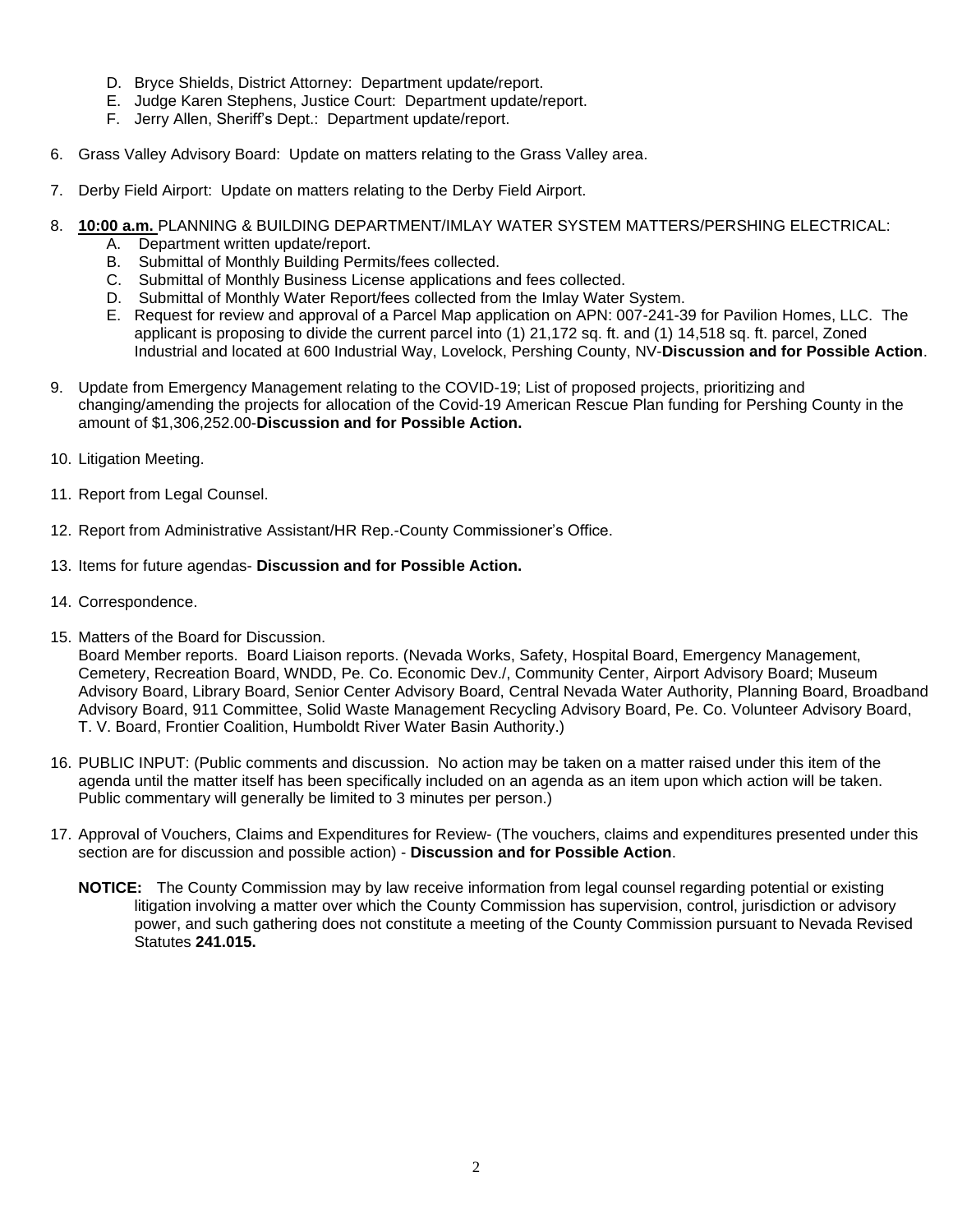- D. Bryce Shields, District Attorney: Department update/report.
- E. Judge Karen Stephens, Justice Court: Department update/report.
- F. Jerry Allen, Sheriff's Dept.: Department update/report.
- 6. Grass Valley Advisory Board: Update on matters relating to the Grass Valley area.
- 7. Derby Field Airport: Update on matters relating to the Derby Field Airport.
- 8. **10:00 a.m.** PLANNING & BUILDING DEPARTMENT/IMLAY WATER SYSTEM MATTERS/PERSHING ELECTRICAL:
	- A. Department written update/report.
	- B. Submittal of Monthly Building Permits/fees collected.
	- C. Submittal of Monthly Business License applications and fees collected.
	- D. Submittal of Monthly Water Report/fees collected from the Imlay Water System.
	- E. Request for review and approval of a Parcel Map application on APN: 007-241-39 for Pavilion Homes, LLC. The applicant is proposing to divide the current parcel into (1) 21,172 sq. ft. and (1) 14,518 sq. ft. parcel, Zoned Industrial and located at 600 Industrial Way, Lovelock, Pershing County, NV-**Discussion and for Possible Action**.
- 9. Update from Emergency Management relating to the COVID-19; List of proposed projects, prioritizing and changing/amending the projects for allocation of the Covid-19 American Rescue Plan funding for Pershing County in the amount of \$1,306,252.00-**Discussion and for Possible Action.**
- 10. Litigation Meeting.
- 11. Report from Legal Counsel.
- 12. Report from Administrative Assistant/HR Rep.-County Commissioner's Office.
- 13. Items for future agendas- **Discussion and for Possible Action.**
- 14. Correspondence.
- 15. Matters of the Board for Discussion.

Board Member reports. Board Liaison reports. (Nevada Works, Safety, Hospital Board, Emergency Management, Cemetery, Recreation Board, WNDD, Pe. Co. Economic Dev./, Community Center, Airport Advisory Board; Museum Advisory Board, Library Board, Senior Center Advisory Board, Central Nevada Water Authority, Planning Board, Broadband Advisory Board, 911 Committee, Solid Waste Management Recycling Advisory Board, Pe. Co. Volunteer Advisory Board, T. V. Board, Frontier Coalition, Humboldt River Water Basin Authority.)

- 16. PUBLIC INPUT: (Public comments and discussion. No action may be taken on a matter raised under this item of the agenda until the matter itself has been specifically included on an agenda as an item upon which action will be taken. Public commentary will generally be limited to 3 minutes per person.)
- 17. Approval of Vouchers, Claims and Expenditures for Review- (The vouchers, claims and expenditures presented under this section are for discussion and possible action) - **Discussion and for Possible Action**.
	- **NOTICE:** The County Commission may by law receive information from legal counsel regarding potential or existing litigation involving a matter over which the County Commission has supervision, control, jurisdiction or advisory power, and such gathering does not constitute a meeting of the County Commission pursuant to Nevada Revised Statutes **241.015.**